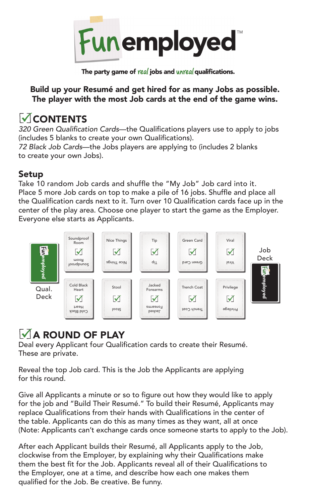

The party game of real jobs and unreal qualifications.

#### Build up your Resumé and get hired for as many Jobs as possible. The player with the most Job cards at the end of the game wins.

## **N**CONTENTS

320 Green Qualification Cards—the Qualifications players use to apply to jobs (includes 5 blanks to create your own Qualifications).

72 Black Job Cards—the Jobs players are applying to (includes 2 blanks to create your own Jobs).

### Setup

Take 10 random Job cards and shuffle the "My Job" Job card into it. Place 5 more Job cards on top to make a pile of 16 jobs. Shuffle and place all the Qualification cards next to it. Turn over 10 Qualification cards face up in the center of the play area. Choose one player to start the game as the Employer. Everyone else starts as Applicants.



## $\sqrt{A}$  A ROUND OF PLAY

Deal every Applicant four Qualification cards to create their Resumé. These are private.

Reveal the top Job card. This is the Job the Applicants are applying for this round.

Give all Applicants a minute or so to figure out how they would like to apply for the job and "Build Their Resumé." To build their Resumé, Applicants may replace Qualifications from their hands with Qualifications in the center of the table. Applicants can do this as many times as they want, all at once (Note: Applicants can't exchange cards once someone starts to apply to the Job).

After each Applicant builds their Resumé, all Applicants apply to the Job, clockwise from the Employer, by explaining why their Qualifications make them the best fit for the Job. Applicants reveal all of their Qualifications to the Employer, one at a time, and describe how each one makes them qualified for the Job. Be creative. Be funny.